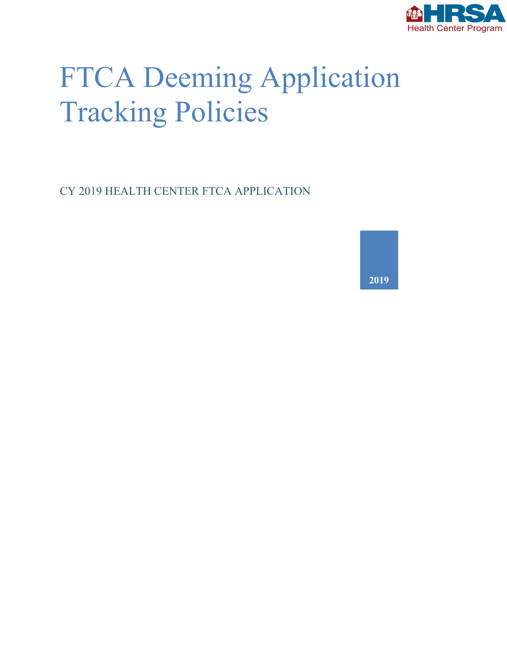

# FTCA Deeming Application Tracking Policies

CY 2019 HEALTH CENTER FTCA APPLICATION

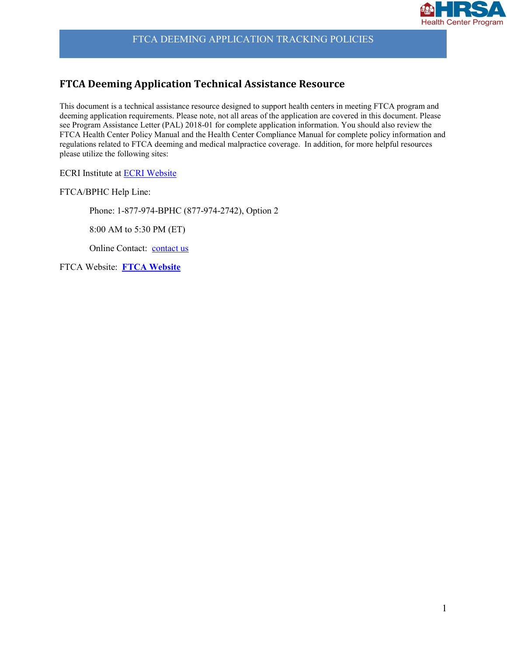

#### **FTCA Deeming Application Technical Assistance Resource**

This document is a technical assistance resource designed to support health centers in meeting FTCA program and deeming application requirements. Please note, not all areas of the application are covered in this document. Please see Program Assistance Letter (PAL) 2018-01 for complete application information. You should also review the FTCA Health Center Policy Manual and the Health Center Compliance Manual for complete policy information and regulations related to FTCA deeming and medical malpractice coverage. In addition, for more helpful resources please utilize the following sites:

ECRI Institute at [ECRI Website](https://www.ecri.org/)

FTCA/BPHC Help Line:

Phone: 1-877-974-BPHC (877-974-2742), Option 2

8:00 AM to 5:30 PM (ET)

Online Contact:[contact us](http://www.hrsa.gov/about/contact/bphc.aspx)

FTCA Website: **[FTCA Website](http://www.bphc.hrsa.gov/ftca/)**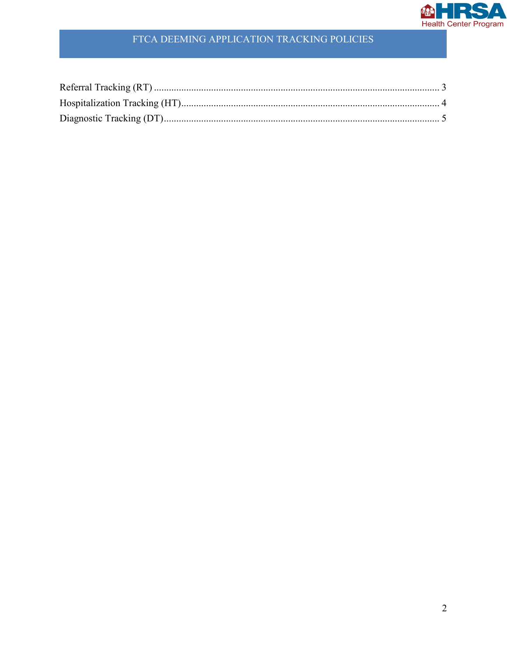

#### FTCA DEEMING APPLICATION TRACKING POLICIES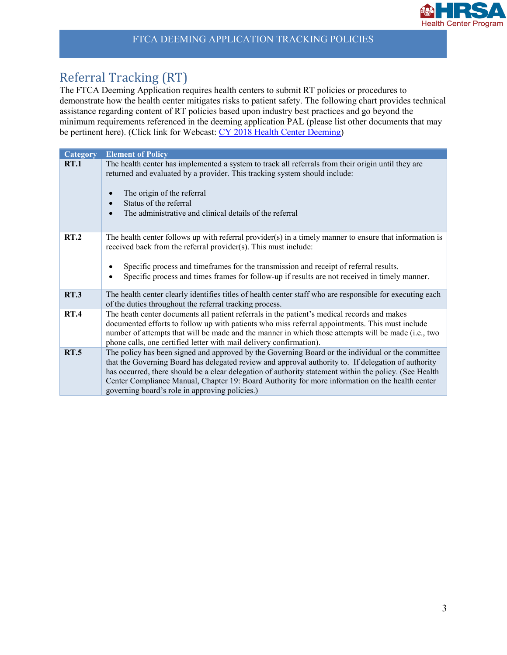

## <span id="page-3-0"></span>Referral Tracking (RT)

The FTCA Deeming Application requires health centers to submit RT policies or procedures to demonstrate how the health center mitigates risks to patient safety. The following chart provides technical assistance regarding content of RT policies based upon industry best practices and go beyond the minimum requirements referenced in the deeming application PAL (please list other documents that may be pertinent here). (Click link for Webcast: [CY 2018 Health Center Deeming\)](http://services.choruscall.com/links/hrsa180417.html)

| <b>Category</b> | <b>Element of Policy</b>                                                                                                                                                                                                                                                                                                                                                                                                                                                |
|-----------------|-------------------------------------------------------------------------------------------------------------------------------------------------------------------------------------------------------------------------------------------------------------------------------------------------------------------------------------------------------------------------------------------------------------------------------------------------------------------------|
| <b>RT.1</b>     | The health center has implemented a system to track all referrals from their origin until they are<br>returned and evaluated by a provider. This tracking system should include:<br>The origin of the referral<br>Status of the referral<br>The administrative and clinical details of the referral                                                                                                                                                                     |
| RT.2            | The health center follows up with referral provider(s) in a timely manner to ensure that information is<br>received back from the referral provider(s). This must include:<br>Specific process and timeframes for the transmission and receipt of referral results.<br>Specific process and times frames for follow-up if results are not received in timely manner.                                                                                                    |
| <b>RT.3</b>     | The health center clearly identifies titles of health center staff who are responsible for executing each<br>of the duties throughout the referral tracking process.                                                                                                                                                                                                                                                                                                    |
| <b>RT.4</b>     | The heath center documents all patient referrals in the patient's medical records and makes<br>documented efforts to follow up with patients who miss referral appointments. This must include<br>number of attempts that will be made and the manner in which those attempts will be made (i.e., two<br>phone calls, one certified letter with mail delivery confirmation).                                                                                            |
| <b>RT.5</b>     | The policy has been signed and approved by the Governing Board or the individual or the committee<br>that the Governing Board has delegated review and approval authority to. If delegation of authority<br>has occurred, there should be a clear delegation of authority statement within the policy. (See Health<br>Center Compliance Manual, Chapter 19: Board Authority for more information on the health center<br>governing board's role in approving policies.) |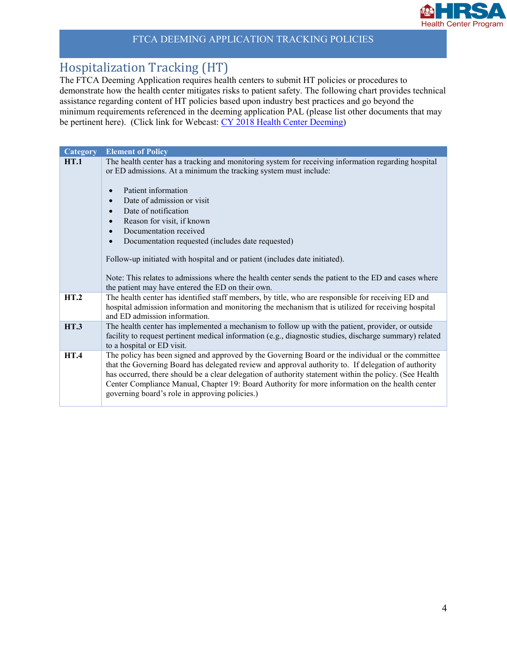

## <span id="page-4-0"></span>Hospitalization Tracking (HT)

The FTCA Deeming Application requires health centers to submit HT policies or procedures to demonstrate how the health center mitigates risks to patient safety. The following chart provides technical assistance regarding content of HT policies based upon industry best practices and go beyond the minimum requirements referenced in the deeming application PAL (please list other documents that may be pertinent here). (Click link for Webcast: [CY 2018 Health Center Deeming\)](http://services.choruscall.com/links/hrsa180417.html)

| <b>Category</b> | <b>Element of Policy</b>                                                                                                                                                                                                                                                                                                                                                                                                                                                |
|-----------------|-------------------------------------------------------------------------------------------------------------------------------------------------------------------------------------------------------------------------------------------------------------------------------------------------------------------------------------------------------------------------------------------------------------------------------------------------------------------------|
| HT.1            | The health center has a tracking and monitoring system for receiving information regarding hospital<br>or ED admissions. At a minimum the tracking system must include:                                                                                                                                                                                                                                                                                                 |
|                 | Patient information                                                                                                                                                                                                                                                                                                                                                                                                                                                     |
|                 | Date of admission or visit                                                                                                                                                                                                                                                                                                                                                                                                                                              |
|                 | Date of notification                                                                                                                                                                                                                                                                                                                                                                                                                                                    |
|                 | Reason for visit, if known<br>$\bullet$                                                                                                                                                                                                                                                                                                                                                                                                                                 |
|                 | Documentation received<br>$\bullet$                                                                                                                                                                                                                                                                                                                                                                                                                                     |
|                 | Documentation requested (includes date requested)                                                                                                                                                                                                                                                                                                                                                                                                                       |
|                 | Follow-up initiated with hospital and or patient (includes date initiated).                                                                                                                                                                                                                                                                                                                                                                                             |
|                 | Note: This relates to admissions where the health center sends the patient to the ED and cases where<br>the patient may have entered the ED on their own.                                                                                                                                                                                                                                                                                                               |
| HT.2            | The health center has identified staff members, by title, who are responsible for receiving ED and<br>hospital admission information and monitoring the mechanism that is utilized for receiving hospital<br>and ED admission information.                                                                                                                                                                                                                              |
| <b>HT.3</b>     | The health center has implemented a mechanism to follow up with the patient, provider, or outside<br>facility to request pertinent medical information (e.g., diagnostic studies, discharge summary) related<br>to a hospital or ED visit.                                                                                                                                                                                                                              |
| <b>HT.4</b>     | The policy has been signed and approved by the Governing Board or the individual or the committee<br>that the Governing Board has delegated review and approval authority to. If delegation of authority<br>has occurred, there should be a clear delegation of authority statement within the policy. (See Health<br>Center Compliance Manual, Chapter 19: Board Authority for more information on the health center<br>governing board's role in approving policies.) |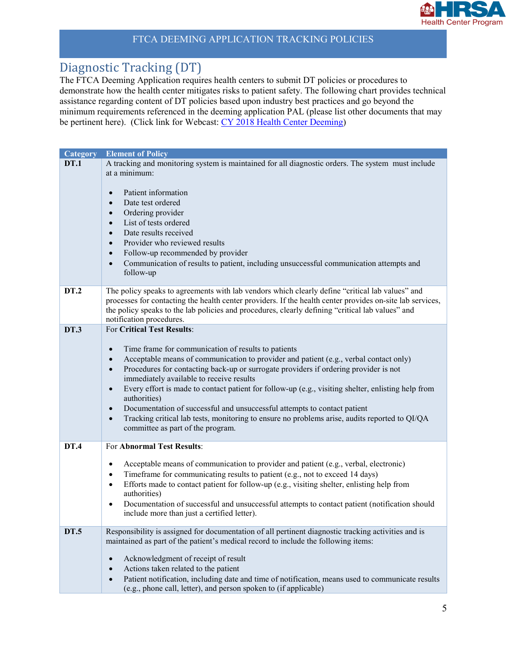

### <span id="page-5-0"></span>Diagnostic Tracking (DT)

The FTCA Deeming Application requires health centers to submit DT policies or procedures to demonstrate how the health center mitigates risks to patient safety. The following chart provides technical assistance regarding content of DT policies based upon industry best practices and go beyond the minimum requirements referenced in the deeming application PAL (please list other documents that may be pertinent here). (Click link for Webcast: [CY 2018 Health Center Deeming\)](http://services.choruscall.com/links/hrsa180417.html)

| <b>Category</b> | <b>Element of Policy</b>                                                                                                                                                                                                                                                                                                                                                                                                                                                                                                                                                                                                                                                                                                             |
|-----------------|--------------------------------------------------------------------------------------------------------------------------------------------------------------------------------------------------------------------------------------------------------------------------------------------------------------------------------------------------------------------------------------------------------------------------------------------------------------------------------------------------------------------------------------------------------------------------------------------------------------------------------------------------------------------------------------------------------------------------------------|
| <b>DT.1</b>     | A tracking and monitoring system is maintained for all diagnostic orders. The system must include<br>at a minimum:<br>Patient information<br>$\bullet$<br>Date test ordered<br>$\bullet$<br>Ordering provider<br>$\bullet$<br>List of tests ordered<br>$\bullet$<br>Date results received<br>$\bullet$<br>Provider who reviewed results<br>$\bullet$<br>Follow-up recommended by provider<br>$\bullet$<br>Communication of results to patient, including unsuccessful communication attempts and<br>$\bullet$                                                                                                                                                                                                                        |
|                 | follow-up                                                                                                                                                                                                                                                                                                                                                                                                                                                                                                                                                                                                                                                                                                                            |
| <b>DT.2</b>     | The policy speaks to agreements with lab vendors which clearly define "critical lab values" and<br>processes for contacting the health center providers. If the health center provides on-site lab services,<br>the policy speaks to the lab policies and procedures, clearly defining "critical lab values" and<br>notification procedures.                                                                                                                                                                                                                                                                                                                                                                                         |
| <b>DT.3</b>     | For Critical Test Results:<br>Time frame for communication of results to patients<br>$\bullet$<br>Acceptable means of communication to provider and patient (e.g., verbal contact only)<br>$\bullet$<br>Procedures for contacting back-up or surrogate providers if ordering provider is not<br>$\bullet$<br>immediately available to receive results<br>Every effort is made to contact patient for follow-up (e.g., visiting shelter, enlisting help from<br>$\bullet$<br>authorities)<br>Documentation of successful and unsuccessful attempts to contact patient<br>$\bullet$<br>Tracking critical lab tests, monitoring to ensure no problems arise, audits reported to QI/QA<br>$\bullet$<br>committee as part of the program. |
| <b>DT.4</b>     | For Abnormal Test Results:                                                                                                                                                                                                                                                                                                                                                                                                                                                                                                                                                                                                                                                                                                           |
|                 | Acceptable means of communication to provider and patient (e.g., verbal, electronic)<br>$\bullet$<br>Timeframe for communicating results to patient (e.g., not to exceed 14 days)<br>$\bullet$<br>Efforts made to contact patient for follow-up (e.g., visiting shelter, enlisting help from<br>$\bullet$<br>authorities)<br>Documentation of successful and unsuccessful attempts to contact patient (notification should<br>$\bullet$<br>include more than just a certified letter).                                                                                                                                                                                                                                               |
| <b>DT.5</b>     | Responsibility is assigned for documentation of all pertinent diagnostic tracking activities and is                                                                                                                                                                                                                                                                                                                                                                                                                                                                                                                                                                                                                                  |
|                 | maintained as part of the patient's medical record to include the following items:<br>Acknowledgment of receipt of result<br>$\bullet$<br>Actions taken related to the patient<br>$\bullet$<br>Patient notification, including date and time of notification, means used to communicate results<br>$\bullet$<br>(e.g., phone call, letter), and person spoken to (if applicable)                                                                                                                                                                                                                                                                                                                                                     |